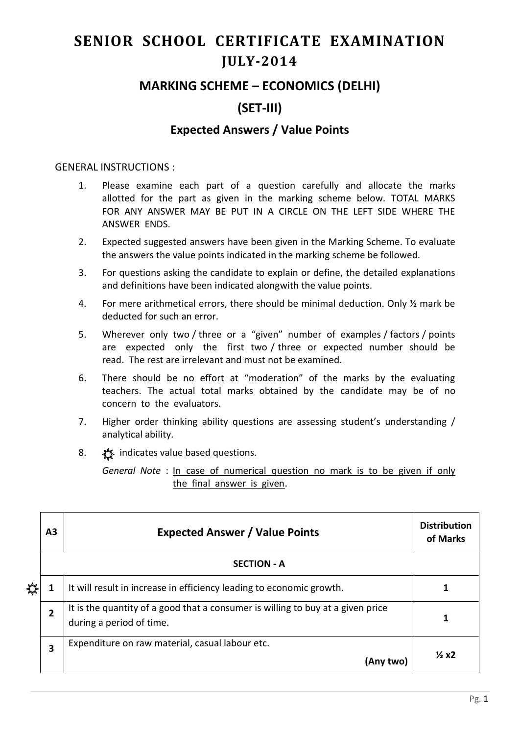# **SENIOR SCHOOL CERTIFICATE EXAMINATION JULY-2014**

## **MARKING SCHEME – ECONOMICS (DELHI)**

# **(SET-III)**

## **Expected Answers / Value Points**

#### GENERAL INSTRUCTIONS :

- 1. Please examine each part of a question carefully and allocate the marks allotted for the part as given in the marking scheme below. TOTAL MARKS FOR ANY ANSWER MAY BE PUT IN A CIRCLE ON THE LEFT SIDE WHERE THE ANSWER ENDS.
- 2. Expected suggested answers have been given in the Marking Scheme. To evaluate the answers the value points indicated in the marking scheme be followed.
- 3. For questions asking the candidate to explain or define, the detailed explanations and definitions have been indicated alongwith the value points.
- 4. For mere arithmetical errors, there should be minimal deduction. Only ½ mark be deducted for such an error.
- 5. Wherever only two / three or a "given" number of examples / factors / points are expected only the first two / three or expected number should be read. The rest are irrelevant and must not be examined.
- 6. There should be no effort at "moderation" of the marks by the evaluating teachers. The actual total marks obtained by the candidate may be of no concern to the evaluators.
- 7. Higher order thinking ability questions are assessing student's understanding / analytical ability.
- 8.  $\frac{1}{2}$  indicates value based questions.

*General Note* : In case of numerical question no mark is to be given if only the final answer is given.

|  | А3                 | <b>Expected Answer / Value Points</b>                                                                       | <b>Distribution</b><br>of Marks |  |  |
|--|--------------------|-------------------------------------------------------------------------------------------------------------|---------------------------------|--|--|
|  | <b>SECTION - A</b> |                                                                                                             |                                 |  |  |
|  | 1                  | It will result in increase in efficiency leading to economic growth.                                        |                                 |  |  |
|  | $\overline{2}$     | It is the quantity of a good that a consumer is willing to buy at a given price<br>during a period of time. |                                 |  |  |
|  | 3                  | Expenditure on raw material, casual labour etc.<br>(Any two)                                                | $\frac{1}{2}x^2$                |  |  |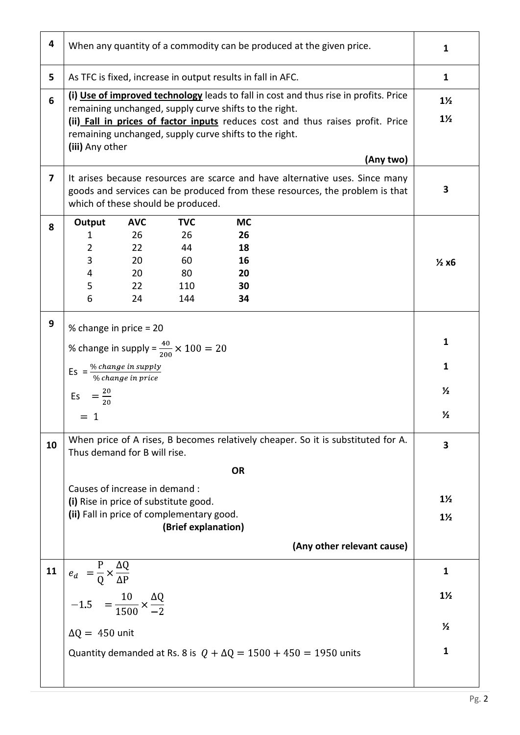| 4  | When any quantity of a commodity can be produced at the given price.                                                                                                                                                                                                                                           |                                           |  |  |  |  |
|----|----------------------------------------------------------------------------------------------------------------------------------------------------------------------------------------------------------------------------------------------------------------------------------------------------------------|-------------------------------------------|--|--|--|--|
| 5  | As TFC is fixed, increase in output results in fall in AFC.                                                                                                                                                                                                                                                    |                                           |  |  |  |  |
| 6  | (i) Use of improved technology leads to fall in cost and thus rise in profits. Price<br>remaining unchanged, supply curve shifts to the right.<br>(ii) Fall in prices of factor inputs reduces cost and thus raises profit. Price<br>remaining unchanged, supply curve shifts to the right.<br>(iii) Any other |                                           |  |  |  |  |
| 7  | (Any two)<br>It arises because resources are scarce and have alternative uses. Since many                                                                                                                                                                                                                      |                                           |  |  |  |  |
|    | goods and services can be produced from these resources, the problem is that<br>which of these should be produced.                                                                                                                                                                                             |                                           |  |  |  |  |
| 8  | <b>AVC</b><br><b>TVC</b><br>Output<br><b>MC</b><br>26<br>26<br>26<br>1<br>18<br>$\overline{2}$<br>22<br>44<br>3<br>20<br>60<br>16<br>20<br>80<br>20<br>4<br>5<br>22<br>110<br>30<br>6<br>24<br>144<br>34                                                                                                       | $\frac{1}{2}x6$                           |  |  |  |  |
| 9  | % change in price = 20<br>% change in supply = $\frac{40}{200} \times 100 = 20$<br>Es = $\frac{\% change in supply}{\% change in price}$<br>$=\frac{20}{20}$<br>Es<br>- 1                                                                                                                                      |                                           |  |  |  |  |
| 10 | When price of A rises, B becomes relatively cheaper. So it is substituted for A.<br>Thus demand for B will rise.<br><b>OR</b><br>Causes of increase in demand :<br>(i) Rise in price of substitute good.<br>(ii) Fall in price of complementary good.<br>(Brief explanation)                                   |                                           |  |  |  |  |
|    | (Any other relevant cause)                                                                                                                                                                                                                                                                                     |                                           |  |  |  |  |
| 11 | $e_d = \frac{P}{Q} \times \frac{\Delta Q}{\Delta P}$<br>-1.5 = $\frac{10}{1500} \times \frac{\Delta Q}{-2}$<br>$\Delta Q = 450$ unit<br>Quantity demanded at Rs. 8 is $Q + \Delta Q = 1500 + 450 = 1950$ units                                                                                                 | 1<br>$1\frac{1}{2}$<br>$\frac{1}{2}$<br>1 |  |  |  |  |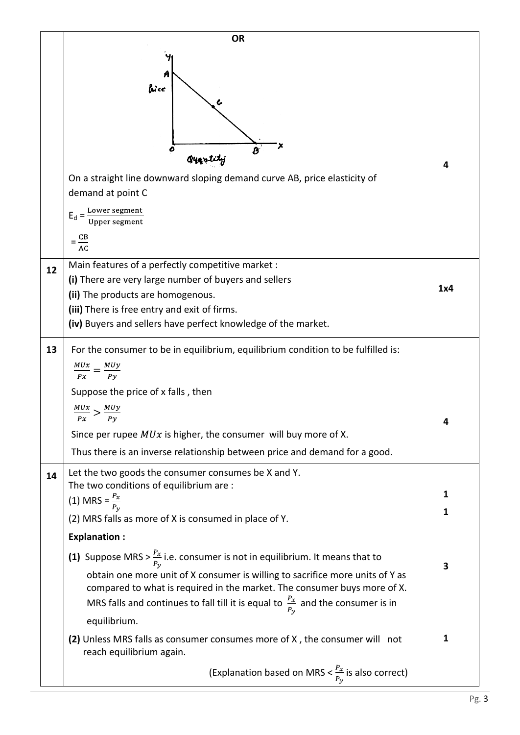|    | <b>OR</b>                                                                                                                                                                                                                                                                                                                                              |        |
|----|--------------------------------------------------------------------------------------------------------------------------------------------------------------------------------------------------------------------------------------------------------------------------------------------------------------------------------------------------------|--------|
|    | bice<br>Qyantity<br>On a straight line downward sloping demand curve AB, price elasticity of<br>demand at point C<br>$E_d = \frac{Lower segment}{Upper segment}$                                                                                                                                                                                       | 4      |
|    | $=\frac{CB}{AC}$                                                                                                                                                                                                                                                                                                                                       |        |
| 12 | Main features of a perfectly competitive market :<br>(i) There are very large number of buyers and sellers<br>(ii) The products are homogenous.<br>(iii) There is free entry and exit of firms.<br>(iv) Buyers and sellers have perfect knowledge of the market.                                                                                       | 1x4    |
| 13 | For the consumer to be in equilibrium, equilibrium condition to be fulfilled is:<br>$\frac{MUx}{Px} = \frac{MUy}{Py}$<br>Suppose the price of x falls, then<br>Px<br>Pν<br>Since per rupee $MUx$ is higher, the consumer will buy more of X.                                                                                                           |        |
|    | Thus there is an inverse relationship between price and demand for a good.<br>Let the two goods the consumer consumes be X and Y.                                                                                                                                                                                                                      |        |
| 14 | The two conditions of equilibrium are :<br>(1) MRS = $\frac{P_x}{P_v}$<br>(2) MRS falls as more of X is consumed in place of Y.                                                                                                                                                                                                                        | 1<br>1 |
|    | <b>Explanation:</b>                                                                                                                                                                                                                                                                                                                                    |        |
|    | (1) Suppose MRS > $\frac{P_x}{P_v}$ i.e. consumer is not in equilibrium. It means that to<br>obtain one more unit of X consumer is willing to sacrifice more units of Y as<br>compared to what is required in the market. The consumer buys more of X.<br>MRS falls and continues to fall till it is equal to $\frac{P_x}{P_y}$ and the consumer is in | 3      |
|    | equilibrium.                                                                                                                                                                                                                                                                                                                                           |        |
|    | (2) Unless MRS falls as consumer consumes more of X, the consumer will not<br>reach equilibrium again.                                                                                                                                                                                                                                                 | 1      |
|    | (Explanation based on MRS $<\frac{P_x}{P_v}$ is also correct)                                                                                                                                                                                                                                                                                          |        |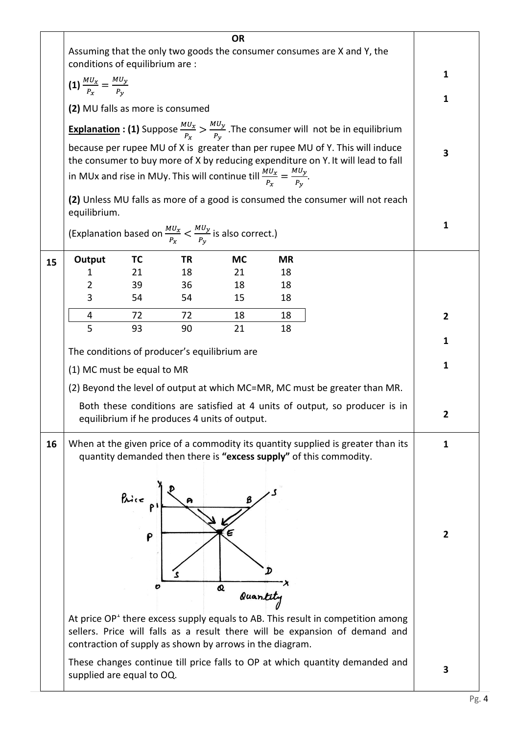|    | <b>OR</b><br>Assuming that the only two goods the consumer consumes are X and Y, the                                                                              |            |                                                                                           |               |                                                                    |                                                                                                                                                                  |              |
|----|-------------------------------------------------------------------------------------------------------------------------------------------------------------------|------------|-------------------------------------------------------------------------------------------|---------------|--------------------------------------------------------------------|------------------------------------------------------------------------------------------------------------------------------------------------------------------|--------------|
|    | conditions of equilibrium are :                                                                                                                                   |            |                                                                                           |               |                                                                    | 1                                                                                                                                                                |              |
|    | (1) $\frac{MU_x}{P_x} = \frac{MU_y}{P_y}$                                                                                                                         |            |                                                                                           |               |                                                                    |                                                                                                                                                                  | $\mathbf{1}$ |
|    |                                                                                                                                                                   |            | (2) MU falls as more is consumed                                                          |               |                                                                    |                                                                                                                                                                  |              |
|    |                                                                                                                                                                   |            |                                                                                           |               |                                                                    | <b>Explanation : (1)</b> Suppose $\frac{M U_x}{P_x} > \frac{M U_y}{P_y}$ . The consumer will not be in equilibrium                                               |              |
|    | because per rupee MU of X is greater than per rupee MU of Y. This will induce<br>the consumer to buy more of X by reducing expenditure on Y. It will lead to fall |            |                                                                                           |               |                                                                    |                                                                                                                                                                  | 3            |
|    |                                                                                                                                                                   |            | in MUx and rise in MUy. This will continue till $\frac{M U_x}{P_x} = \frac{M U_y}{P_y}$ . |               |                                                                    |                                                                                                                                                                  |              |
|    | equilibrium.                                                                                                                                                      |            |                                                                                           |               |                                                                    | (2) Unless MU falls as more of a good is consumed the consumer will not reach                                                                                    |              |
|    |                                                                                                                                                                   |            | (Explanation based on $\frac{M U_x}{P_x} < \frac{M U_y}{P_y}$ is also correct.)           |               |                                                                    |                                                                                                                                                                  | 1            |
| 15 | Output                                                                                                                                                            | TC         | TR                                                                                        | <b>MC</b>     | <b>MR</b>                                                          |                                                                                                                                                                  |              |
|    | 1                                                                                                                                                                 | 21         | 18                                                                                        | 21            | 18                                                                 |                                                                                                                                                                  |              |
|    | $\overline{2}$                                                                                                                                                    | 39         | 36                                                                                        | 18            | 18                                                                 |                                                                                                                                                                  |              |
|    | 3                                                                                                                                                                 | 54         | 54                                                                                        | 15            | 18                                                                 |                                                                                                                                                                  |              |
|    | 4                                                                                                                                                                 | 72         | 72                                                                                        | 18            | 18                                                                 |                                                                                                                                                                  | $\mathbf{2}$ |
|    | 5                                                                                                                                                                 | 93         | 90                                                                                        | 21            | 18                                                                 |                                                                                                                                                                  | 1            |
|    |                                                                                                                                                                   |            | The conditions of producer's equilibrium are                                              |               |                                                                    |                                                                                                                                                                  |              |
|    | (1) MC must be equal to MR                                                                                                                                        |            |                                                                                           |               |                                                                    |                                                                                                                                                                  | 1            |
|    |                                                                                                                                                                   |            |                                                                                           |               |                                                                    | (2) Beyond the level of output at which MC=MR, MC must be greater than MR.                                                                                       |              |
|    |                                                                                                                                                                   |            | equilibrium if he produces 4 units of output.                                             |               |                                                                    | Both these conditions are satisfied at 4 units of output, so producer is in                                                                                      | 2            |
| 16 |                                                                                                                                                                   |            |                                                                                           |               | quantity demanded then there is "excess supply" of this commodity. | When at the given price of a commodity its quantity supplied is greater than its                                                                                 | 1            |
|    |                                                                                                                                                                   | Price<br>P | contraction of supply as shown by arrows in the diagram.                                  | Q<br>Quantity |                                                                    | At price $OPT$ there excess supply equals to AB. This result in competition among<br>sellers. Price will falls as a result there will be expansion of demand and | $\mathbf{2}$ |
|    | supplied are equal to OQ.                                                                                                                                         |            |                                                                                           |               |                                                                    | These changes continue till price falls to OP at which quantity demanded and                                                                                     | 3            |

 $\frac{1}{\text{pg. 4}}$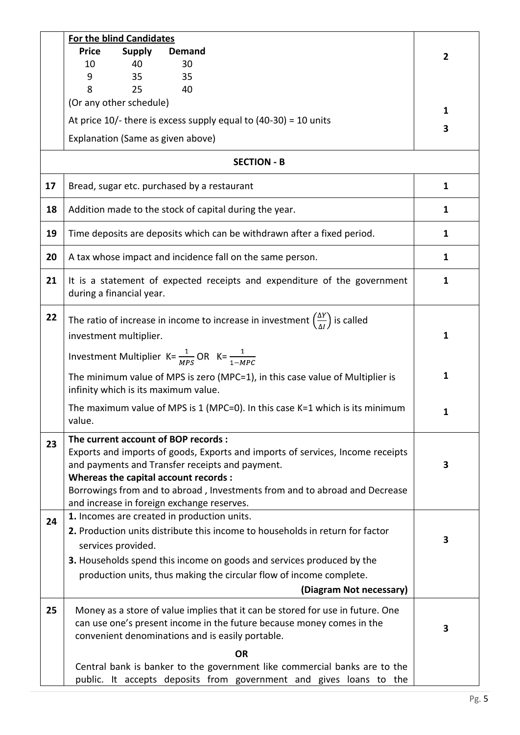|    | For the blind Candidates                                                                                                                                                                                                                                                                         |                |  |  |  |  |  |
|----|--------------------------------------------------------------------------------------------------------------------------------------------------------------------------------------------------------------------------------------------------------------------------------------------------|----------------|--|--|--|--|--|
|    | <b>Price</b><br><b>Supply</b><br>Demand                                                                                                                                                                                                                                                          | $\overline{2}$ |  |  |  |  |  |
|    | 10<br>40<br>30                                                                                                                                                                                                                                                                                   |                |  |  |  |  |  |
|    | 35<br>35<br>9                                                                                                                                                                                                                                                                                    |                |  |  |  |  |  |
|    | 8<br>25<br>40<br>(Or any other schedule)                                                                                                                                                                                                                                                         |                |  |  |  |  |  |
|    |                                                                                                                                                                                                                                                                                                  |                |  |  |  |  |  |
|    | At price $10/-$ there is excess supply equal to (40-30) = 10 units                                                                                                                                                                                                                               | 3              |  |  |  |  |  |
|    | Explanation (Same as given above)                                                                                                                                                                                                                                                                |                |  |  |  |  |  |
|    | <b>SECTION - B</b>                                                                                                                                                                                                                                                                               |                |  |  |  |  |  |
| 17 | Bread, sugar etc. purchased by a restaurant                                                                                                                                                                                                                                                      | 1              |  |  |  |  |  |
| 18 | Addition made to the stock of capital during the year.                                                                                                                                                                                                                                           | 1              |  |  |  |  |  |
| 19 | Time deposits are deposits which can be withdrawn after a fixed period.                                                                                                                                                                                                                          | 1              |  |  |  |  |  |
| 20 | A tax whose impact and incidence fall on the same person.                                                                                                                                                                                                                                        | 1              |  |  |  |  |  |
| 21 | It is a statement of expected receipts and expenditure of the government<br>during a financial year.                                                                                                                                                                                             |                |  |  |  |  |  |
| 22 | The ratio of increase in income to increase in investment $\left(\frac{\Delta Y}{\Delta I}\right)$ is called<br>investment multiplier.<br>Investment Multiplier K= $\frac{1}{MPS}$ OR K= $\frac{1}{1-MPC}$                                                                                       |                |  |  |  |  |  |
|    | The minimum value of MPS is zero (MPC=1), in this case value of Multiplier is                                                                                                                                                                                                                    |                |  |  |  |  |  |
|    | infinity which is its maximum value.<br>The maximum value of MPS is 1 (MPC=0). In this case $K=1$ which is its minimum<br>value.                                                                                                                                                                 |                |  |  |  |  |  |
| 23 | The current account of BOP records :<br>Exports and imports of goods, Exports and imports of services, Income receipts<br>and payments and Transfer receipts and payment.<br>Whereas the capital account records :<br>Borrowings from and to abroad, Investments from and to abroad and Decrease |                |  |  |  |  |  |
| 24 | and increase in foreign exchange reserves.<br>1. Incomes are created in production units.                                                                                                                                                                                                        |                |  |  |  |  |  |
|    | 2. Production units distribute this income to households in return for factor<br>services provided.<br>3. Households spend this income on goods and services produced by the                                                                                                                     | 3              |  |  |  |  |  |
|    | production units, thus making the circular flow of income complete.                                                                                                                                                                                                                              |                |  |  |  |  |  |
|    | (Diagram Not necessary)                                                                                                                                                                                                                                                                          |                |  |  |  |  |  |
| 25 | Money as a store of value implies that it can be stored for use in future. One<br>can use one's present income in the future because money comes in the<br>convenient denominations and is easily portable.                                                                                      | 3              |  |  |  |  |  |
|    | <b>OR</b>                                                                                                                                                                                                                                                                                        |                |  |  |  |  |  |
|    | Central bank is banker to the government like commercial banks are to the<br>public. It accepts deposits from government and gives loans to the                                                                                                                                                  |                |  |  |  |  |  |
|    |                                                                                                                                                                                                                                                                                                  |                |  |  |  |  |  |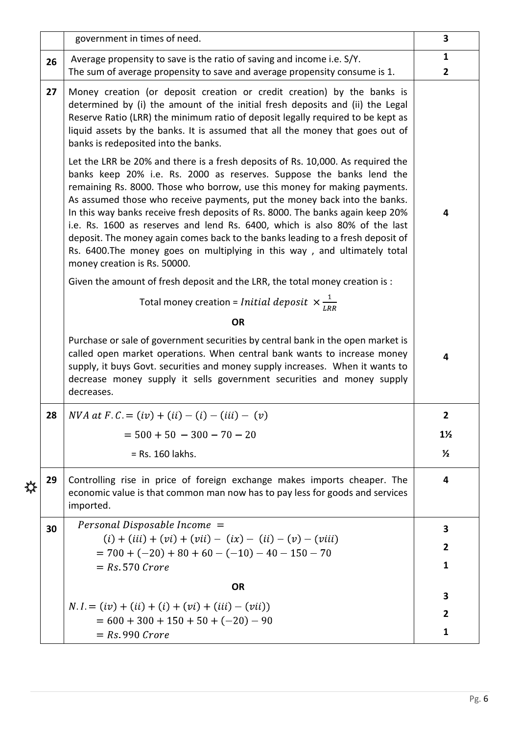|              |    |                                                                                                                                                                                                                                                                                                                                                                                                                                                                                                                                                                                                                                                                                                                                                                                                                                                                                                                                                                                                                                                          | 3                       |  |  |  |  |
|--------------|----|----------------------------------------------------------------------------------------------------------------------------------------------------------------------------------------------------------------------------------------------------------------------------------------------------------------------------------------------------------------------------------------------------------------------------------------------------------------------------------------------------------------------------------------------------------------------------------------------------------------------------------------------------------------------------------------------------------------------------------------------------------------------------------------------------------------------------------------------------------------------------------------------------------------------------------------------------------------------------------------------------------------------------------------------------------|-------------------------|--|--|--|--|
|              |    | government in times of need.                                                                                                                                                                                                                                                                                                                                                                                                                                                                                                                                                                                                                                                                                                                                                                                                                                                                                                                                                                                                                             |                         |  |  |  |  |
|              | 26 | Average propensity to save is the ratio of saving and income i.e. S/Y.<br>The sum of average propensity to save and average propensity consume is 1.                                                                                                                                                                                                                                                                                                                                                                                                                                                                                                                                                                                                                                                                                                                                                                                                                                                                                                     |                         |  |  |  |  |
|              |    |                                                                                                                                                                                                                                                                                                                                                                                                                                                                                                                                                                                                                                                                                                                                                                                                                                                                                                                                                                                                                                                          |                         |  |  |  |  |
|              | 27 | Money creation (or deposit creation or credit creation) by the banks is<br>determined by (i) the amount of the initial fresh deposits and (ii) the Legal<br>Reserve Ratio (LRR) the minimum ratio of deposit legally required to be kept as<br>liquid assets by the banks. It is assumed that all the money that goes out of<br>banks is redeposited into the banks.<br>Let the LRR be 20% and there is a fresh deposits of Rs. 10,000. As required the<br>banks keep 20% i.e. Rs. 2000 as reserves. Suppose the banks lend the<br>remaining Rs. 8000. Those who borrow, use this money for making payments.<br>As assumed those who receive payments, put the money back into the banks.<br>In this way banks receive fresh deposits of Rs. 8000. The banks again keep 20%<br>i.e. Rs. 1600 as reserves and lend Rs. 6400, which is also 80% of the last<br>deposit. The money again comes back to the banks leading to a fresh deposit of<br>Rs. 6400. The money goes on multiplying in this way, and ultimately total<br>money creation is Rs. 50000. | 4                       |  |  |  |  |
|              |    | Given the amount of fresh deposit and the LRR, the total money creation is :                                                                                                                                                                                                                                                                                                                                                                                                                                                                                                                                                                                                                                                                                                                                                                                                                                                                                                                                                                             |                         |  |  |  |  |
|              |    | Total money creation = Initial deposit $\times \frac{1}{LRR}$                                                                                                                                                                                                                                                                                                                                                                                                                                                                                                                                                                                                                                                                                                                                                                                                                                                                                                                                                                                            |                         |  |  |  |  |
|              |    | <b>OR</b>                                                                                                                                                                                                                                                                                                                                                                                                                                                                                                                                                                                                                                                                                                                                                                                                                                                                                                                                                                                                                                                |                         |  |  |  |  |
|              |    | Purchase or sale of government securities by central bank in the open market is<br>called open market operations. When central bank wants to increase money<br>supply, it buys Govt. securities and money supply increases. When it wants to<br>decrease money supply it sells government securities and money supply<br>decreases.                                                                                                                                                                                                                                                                                                                                                                                                                                                                                                                                                                                                                                                                                                                      | $\overline{\mathbf{4}}$ |  |  |  |  |
|              | 28 | $NVA$ at $F.C. = (iv) + (ii) - (i) - (iii) - (v)$                                                                                                                                                                                                                                                                                                                                                                                                                                                                                                                                                                                                                                                                                                                                                                                                                                                                                                                                                                                                        | $\overline{2}$          |  |  |  |  |
|              |    | $= 500 + 50 - 300 - 70 - 20$                                                                                                                                                                                                                                                                                                                                                                                                                                                                                                                                                                                                                                                                                                                                                                                                                                                                                                                                                                                                                             | $1\frac{1}{2}$          |  |  |  |  |
|              |    | $=$ Rs. 160 lakhs.                                                                                                                                                                                                                                                                                                                                                                                                                                                                                                                                                                                                                                                                                                                                                                                                                                                                                                                                                                                                                                       | $\frac{1}{2}$           |  |  |  |  |
| <del>∛</del> | 29 | Controlling rise in price of foreign exchange makes imports cheaper. The<br>economic value is that common man now has to pay less for goods and services<br>imported.                                                                                                                                                                                                                                                                                                                                                                                                                                                                                                                                                                                                                                                                                                                                                                                                                                                                                    | $\overline{\mathbf{4}}$ |  |  |  |  |
|              | 30 | Personal Disposable Income $=$                                                                                                                                                                                                                                                                                                                                                                                                                                                                                                                                                                                                                                                                                                                                                                                                                                                                                                                                                                                                                           | 3                       |  |  |  |  |
|              |    | $(i) + (iii) + (vi) + (vii) - (ix) - (ii) - (v) - (viii)$                                                                                                                                                                                                                                                                                                                                                                                                                                                                                                                                                                                                                                                                                                                                                                                                                                                                                                                                                                                                |                         |  |  |  |  |
|              |    | $= 700 + (-20) + 80 + 60 - (-10) - 40 - 150 - 70$<br>$= Rs 570$ Crore                                                                                                                                                                                                                                                                                                                                                                                                                                                                                                                                                                                                                                                                                                                                                                                                                                                                                                                                                                                    | 1                       |  |  |  |  |
|              |    | <b>OR</b>                                                                                                                                                                                                                                                                                                                                                                                                                                                                                                                                                                                                                                                                                                                                                                                                                                                                                                                                                                                                                                                |                         |  |  |  |  |
|              |    | $N.I = (iv) + (ii) + (i) + (vi) + (iii) - (vii)$                                                                                                                                                                                                                                                                                                                                                                                                                                                                                                                                                                                                                                                                                                                                                                                                                                                                                                                                                                                                         | 3                       |  |  |  |  |
|              |    | $= 600 + 300 + 150 + 50 + (-20) - 90$                                                                                                                                                                                                                                                                                                                                                                                                                                                                                                                                                                                                                                                                                                                                                                                                                                                                                                                                                                                                                    | $\overline{2}$          |  |  |  |  |
|              |    | $=$ Rs 990 Crore                                                                                                                                                                                                                                                                                                                                                                                                                                                                                                                                                                                                                                                                                                                                                                                                                                                                                                                                                                                                                                         | $\mathbf{1}$            |  |  |  |  |